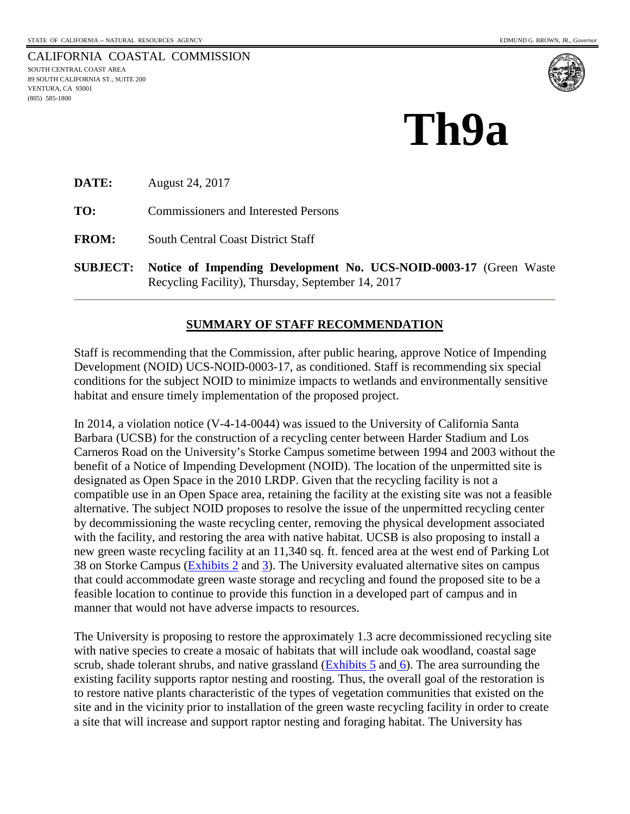CALIFORNIA COASTAL COMMISSION SOUTH CENTRAL COAST AREA 89 SOUTH CALIFORNIA ST., SUITE 200 89 SOUTH CALIFORN<br>VENTURA, CA 93001<br>(805) 585-1800<br>**—** (805) 585-1800



# **Th9a**

**DATE:** August 24, 2017

**TO:** Commissioners and Interested Persons

**FROM:** South Central Coast District Staff

**SUBJECT: Notice of Impending Development No. UCS-NOID-0003-17** (Green Waste Recycling Facility), Thursday, September 14, 2017

# **SUMMARY OF STAFF RECOMMENDATION**

Staff is recommending that the Commission, after public hearing, approve Notice of Impending Development (NOID) UCS-NOID-0003-17, as conditioned. Staff is recommending six special conditions for the subject NOID to minimize impacts to wetlands and environmentally sensitive habitat and ensure timely implementation of the proposed project.

In 2014, a violation notice (V-4-14-0044) was issued to the University of California Santa Barbara (UCSB) for the construction of a recycling center between Harder Stadium and Los Carneros Road on the University's Storke Campus sometime between 1994 and 2003 without the benefit of a Notice of Impending Development (NOID). The location of the unpermitted site is designated as Open Space in the 2010 LRDP. Given that the recycling facility is not a compatible use in an Open Space area, retaining the facility at the existing site was not a feasible alternative. The subject NOID proposes to resolve the issue of the unpermitted recycling center by decommissioning the waste recycling center, removing the physical development associated with the facility, and restoring the area with native habitat. UCSB is also proposing to install a new green waste recycling facility at an 11,340 sq. ft. fenced area at the west end of Parking Lot 38 on Storke Campus [\(Exhibits 2](https://documents.coastal.ca.gov/reports/2017/9/Th9a/Th9a-9-2017-exhibits.pdf) and [3\)](https://documents.coastal.ca.gov/reports/2017/9/Th9a/Th9a-9-2017-exhibits.pdf). The University evaluated alternative sites on campus that could accommodate green waste storage and recycling and found the proposed site to be a feasible location to continue to provide this function in a developed part of campus and in manner that would not have adverse impacts to resources.

The University is proposing to restore the approximately 1.3 acre decommissioned recycling site with native species to create a mosaic of habitats that will include oak woodland, coastal sage scrub, shade tolerant shrubs, and native grassland  $(Exhibits 5 and 6)$  $(Exhibits 5 and 6)$  $(Exhibits 5 and 6)$ . The area surrounding the existing facility supports raptor nesting and roosting. Thus, the overall goal of the restoration is to restore native plants characteristic of the types of vegetation communities that existed on the site and in the vicinity prior to installation of the green waste recycling facility in order to create a site that will increase and support raptor nesting and foraging habitat. The University has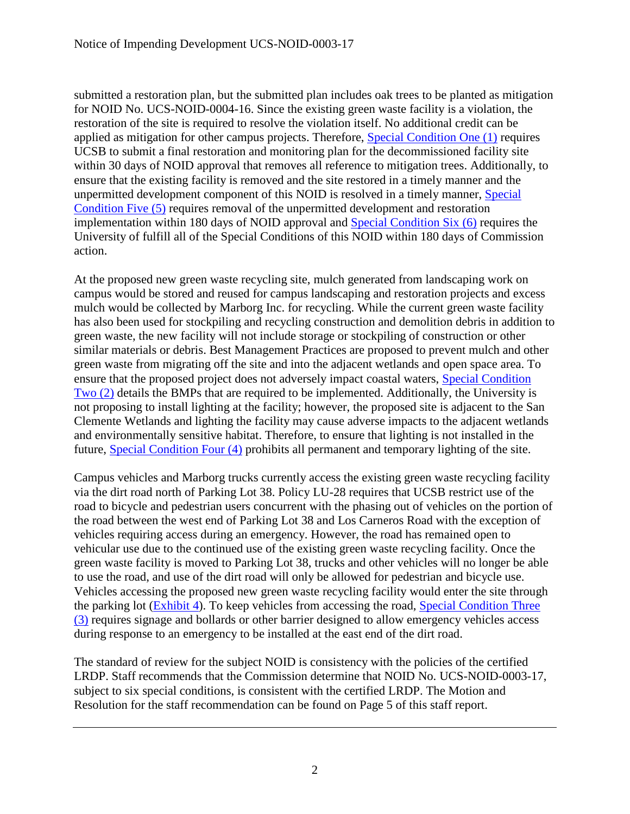submitted a restoration plan, but the submitted plan includes oak trees to be planted as mitigation for NOID No. UCS-NOID-0004-16. Since the existing green waste facility is a violation, the restoration of the site is required to resolve the violation itself. No additional credit can be applied as mitigation for other campus projects. Therefore, [Special Condition One \(1\)](#page-5-0) requires UCSB to submit a final restoration and monitoring plan for the decommissioned facility site within 30 days of NOID approval that removes all reference to mitigation trees. Additionally, to ensure that the existing facility is removed and the site restored in a timely manner and the unpermitted development component of this NOID is resolved in a timely manner, [Special](#page-7-0)  [Condition Five \(5\)](#page-7-0) requires removal of the unpermitted development and restoration implementation within 180 days of NOID approval and [Special Condition Six \(6\)](#page-7-1) requires the University of fulfill all of the Special Conditions of this NOID within 180 days of Commission action.

At the proposed new green waste recycling site, mulch generated from landscaping work on campus would be stored and reused for campus landscaping and restoration projects and excess mulch would be collected by Marborg Inc. for recycling. While the current green waste facility has also been used for stockpiling and recycling construction and demolition debris in addition to green waste, the new facility will not include storage or stockpiling of construction or other similar materials or debris. Best Management Practices are proposed to prevent mulch and other green waste from migrating off the site and into the adjacent wetlands and open space area. To ensure that the proposed project does not adversely impact coastal waters, [Special Condition](#page-6-0)  [Two \(2\)](#page-6-0) details the BMPs that are required to be implemented. Additionally, the University is not proposing to install lighting at the facility; however, the proposed site is adjacent to the San Clemente Wetlands and lighting the facility may cause adverse impacts to the adjacent wetlands and environmentally sensitive habitat. Therefore, to ensure that lighting is not installed in the future, [Special Condition Four \(4\)](#page-7-2) prohibits all permanent and temporary lighting of the site.

Campus vehicles and Marborg trucks currently access the existing green waste recycling facility via the dirt road north of Parking Lot 38. Policy LU-28 requires that UCSB restrict use of the road to bicycle and pedestrian users concurrent with the phasing out of vehicles on the portion of the road between the west end of Parking Lot 38 and Los Carneros Road with the exception of vehicles requiring access during an emergency. However, the road has remained open to vehicular use due to the continued use of the existing green waste recycling facility. Once the green waste facility is moved to Parking Lot 38, trucks and other vehicles will no longer be able to use the road, and use of the dirt road will only be allowed for pedestrian and bicycle use. Vehicles accessing the proposed new green waste recycling facility would enter the site through the parking lot [\(Exhibit 4\)](https://documents.coastal.ca.gov/reports/2017/9/Th9a/Th9a-9-2017-exhibits.pdf). To keep vehicles from accessing the road, [Special Condition Three](#page-6-1)  [\(3\)](#page-6-1) requires signage and bollards or other barrier designed to allow emergency vehicles access during response to an emergency to be installed at the east end of the dirt road.

The standard of review for the subject NOID is consistency with the policies of the certified LRDP. Staff recommends that the Commission determine that NOID No. UCS-NOID-0003-17, subject to six special conditions, is consistent with the certified LRDP. The Motion and Resolution for the staff recommendation can be found on Page 5 of this staff report.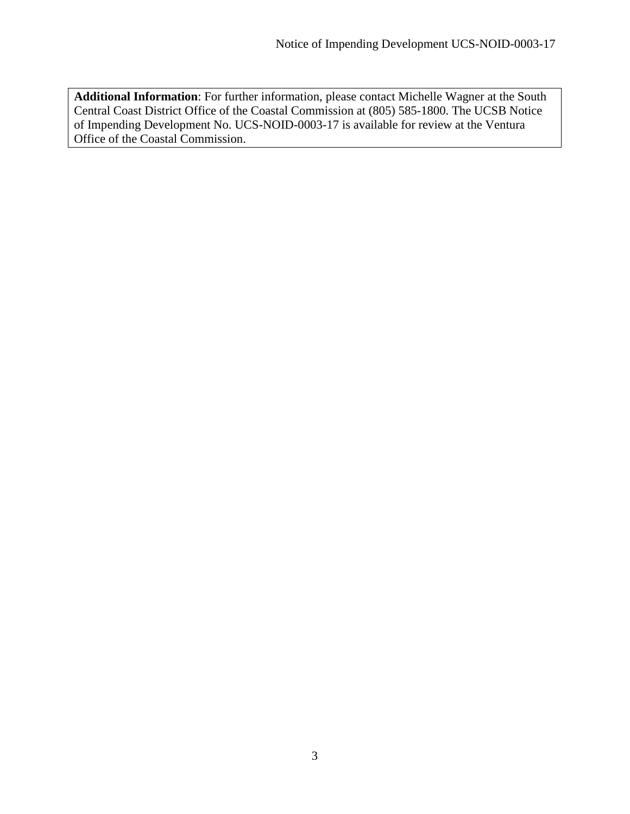**Additional Information**: For further information, please contact Michelle Wagner at the South Central Coast District Office of the Coastal Commission at (805) 585-1800. The UCSB Notice of Impending Development No. UCS-NOID-0003-17 is available for review at the Ventura Office of the Coastal Commission.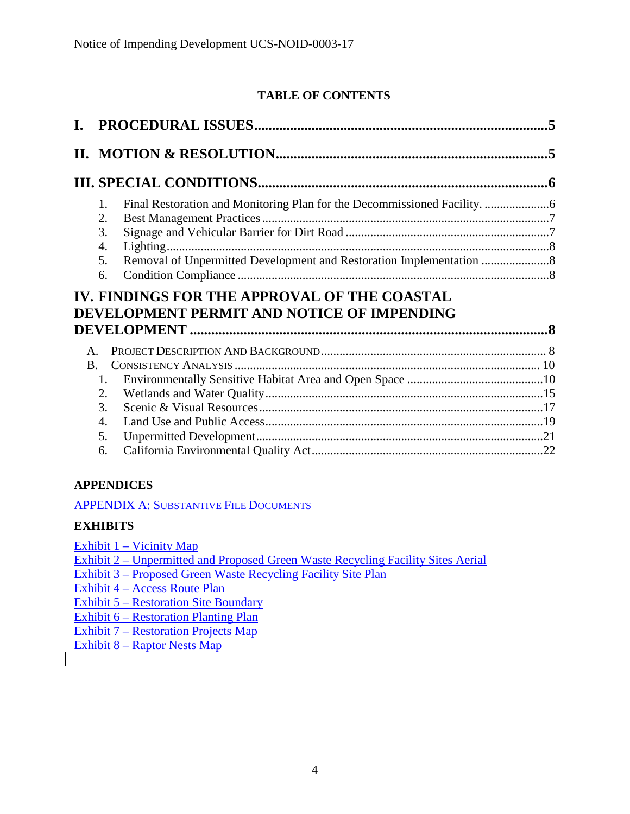# **TABLE OF CONTENTS**

| 1.<br>2.<br>3.<br>4.<br>5.<br>6. | Lighting<br>Removal of Unpermitted Development and Restoration Implementation              |  |
|----------------------------------|--------------------------------------------------------------------------------------------|--|
|                                  | IV. FINDINGS FOR THE APPROVAL OF THE COASTAL<br>DEVELOPMENT PERMIT AND NOTICE OF IMPENDING |  |
|                                  |                                                                                            |  |
| $\mathsf{A}$ .                   |                                                                                            |  |
| <b>B.</b><br>1.                  |                                                                                            |  |
| 2.                               |                                                                                            |  |
| 3.                               |                                                                                            |  |
| 4.                               |                                                                                            |  |
| 5.<br>6.                         |                                                                                            |  |

# **APPENDICES**

[APPENDIX A: SUBSTANTIVE FILE DOCUMENTS](#page-22-0)

# **EXHIBITS**

[Exhibit 1 – Vicinity Map](https://documents.coastal.ca.gov/reports/2017/9/Th9a/Th9a-9-2017-exhibits.pdf)

[Exhibit 2 – Unpermitted and Proposed Green Waste Recycling Facility Sites Aerial](https://documents.coastal.ca.gov/reports/2017/9/Th9a/Th9a-9-2017-exhibits.pdf)

[Exhibit 3 – Proposed Green Waste Recycling Facility Site Plan](https://documents.coastal.ca.gov/reports/2017/9/Th9a/Th9a-9-2017-exhibits.pdf)

[Exhibit 4 – Access Route Plan](https://documents.coastal.ca.gov/reports/2017/9/Th9a/Th9a-9-2017-exhibits.pdf)

[Exhibit 5 – Restoration Site Boundary](https://documents.coastal.ca.gov/reports/2017/9/Th9a/Th9a-9-2017-exhibits.pdf) 

[Exhibit 6 – Restoration Planting Plan](https://documents.coastal.ca.gov/reports/2017/9/Th9a/Th9a-9-2017-exhibits.pdf)

[Exhibit 7 – Restoration Projects Map](https://documents.coastal.ca.gov/reports/2017/9/Th9a/Th9a-9-2017-exhibits.pdf)

[Exhibit 8 – Raptor Nests](https://documents.coastal.ca.gov/reports/2017/9/Th9a/Th9a-9-2017-exhibits.pdf) Map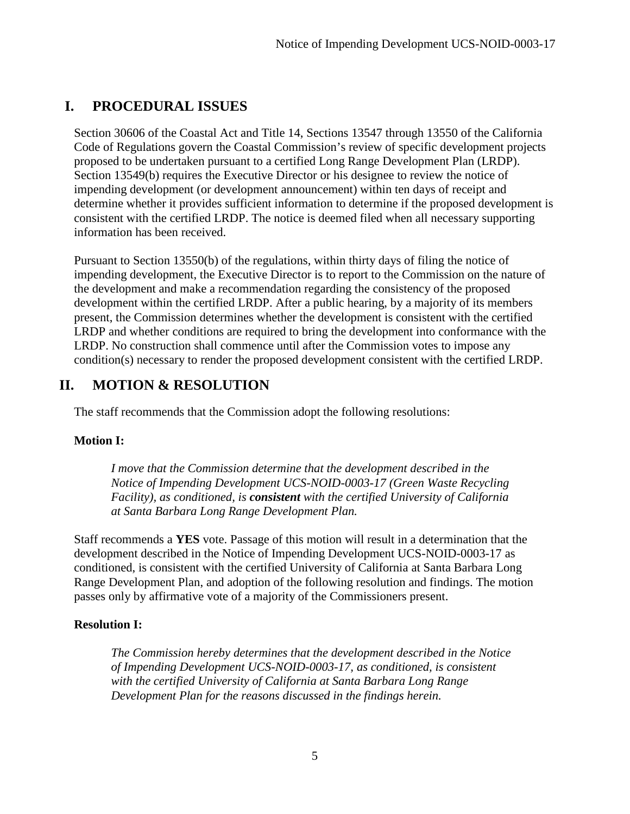# <span id="page-4-0"></span>**I. PROCEDURAL ISSUES**

Section 30606 of the Coastal Act and Title 14, Sections 13547 through 13550 of the California Code of Regulations govern the Coastal Commission's review of specific development projects proposed to be undertaken pursuant to a certified Long Range Development Plan (LRDP). Section 13549(b) requires the Executive Director or his designee to review the notice of impending development (or development announcement) within ten days of receipt and determine whether it provides sufficient information to determine if the proposed development is consistent with the certified LRDP. The notice is deemed filed when all necessary supporting information has been received.

Pursuant to Section 13550(b) of the regulations, within thirty days of filing the notice of impending development, the Executive Director is to report to the Commission on the nature of the development and make a recommendation regarding the consistency of the proposed development within the certified LRDP. After a public hearing, by a majority of its members present, the Commission determines whether the development is consistent with the certified LRDP and whether conditions are required to bring the development into conformance with the LRDP. No construction shall commence until after the Commission votes to impose any condition(s) necessary to render the proposed development consistent with the certified LRDP.

# <span id="page-4-1"></span>**II. MOTION & RESOLUTION**

The staff recommends that the Commission adopt the following resolutions:

# **Motion I:**

*I move that the Commission determine that the development described in the Notice of Impending Development UCS-NOID-0003-17 (Green Waste Recycling Facility), as conditioned, is consistent with the certified University of California at Santa Barbara Long Range Development Plan.* 

Staff recommends a **YES** vote. Passage of this motion will result in a determination that the development described in the Notice of Impending Development UCS-NOID-0003-17 as conditioned, is consistent with the certified University of California at Santa Barbara Long Range Development Plan, and adoption of the following resolution and findings. The motion passes only by affirmative vote of a majority of the Commissioners present.

# **Resolution I:**

*The Commission hereby determines that the development described in the Notice of Impending Development UCS-NOID-0003-17, as conditioned, is consistent with the certified University of California at Santa Barbara Long Range Development Plan for the reasons discussed in the findings herein.*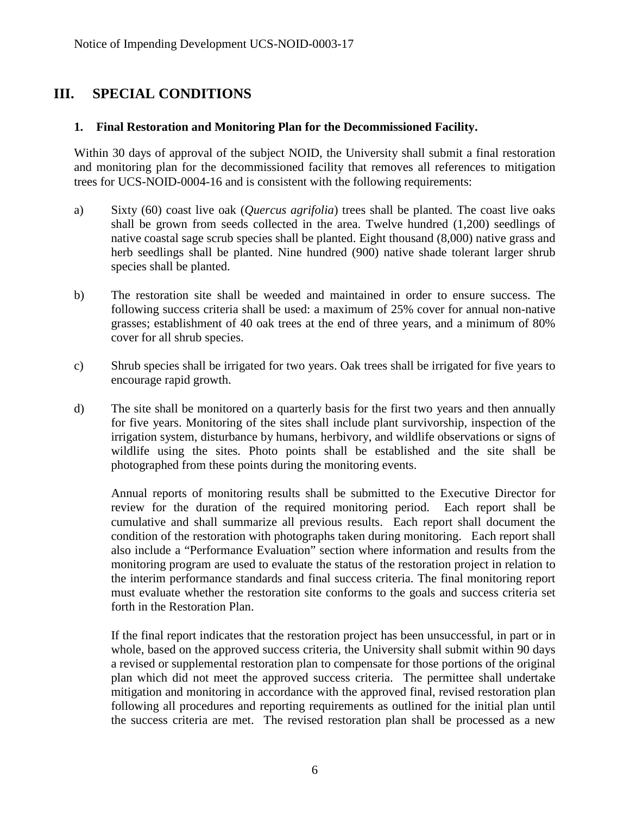# <span id="page-5-1"></span>**III. SPECIAL CONDITIONS**

# <span id="page-5-0"></span>**1. Final Restoration and Monitoring Plan for the Decommissioned Facility.**

Within 30 days of approval of the subject NOID, the University shall submit a final restoration and monitoring plan for the decommissioned facility that removes all references to mitigation trees for UCS-NOID-0004-16 and is consistent with the following requirements:

- a) Sixty (60) coast live oak (*Quercus agrifolia*) trees shall be planted. The coast live oaks shall be grown from seeds collected in the area. Twelve hundred (1,200) seedlings of native coastal sage scrub species shall be planted. Eight thousand (8,000) native grass and herb seedlings shall be planted. Nine hundred (900) native shade tolerant larger shrub species shall be planted.
- b) The restoration site shall be weeded and maintained in order to ensure success. The following success criteria shall be used: a maximum of 25% cover for annual non-native grasses; establishment of 40 oak trees at the end of three years, and a minimum of 80% cover for all shrub species.
- c) Shrub species shall be irrigated for two years. Oak trees shall be irrigated for five years to encourage rapid growth.
- d) The site shall be monitored on a quarterly basis for the first two years and then annually for five years. Monitoring of the sites shall include plant survivorship, inspection of the irrigation system, disturbance by humans, herbivory, and wildlife observations or signs of wildlife using the sites. Photo points shall be established and the site shall be photographed from these points during the monitoring events.

Annual reports of monitoring results shall be submitted to the Executive Director for review for the duration of the required monitoring period. Each report shall be cumulative and shall summarize all previous results. Each report shall document the condition of the restoration with photographs taken during monitoring. Each report shall also include a "Performance Evaluation" section where information and results from the monitoring program are used to evaluate the status of the restoration project in relation to the interim performance standards and final success criteria. The final monitoring report must evaluate whether the restoration site conforms to the goals and success criteria set forth in the Restoration Plan.

If the final report indicates that the restoration project has been unsuccessful, in part or in whole, based on the approved success criteria, the University shall submit within 90 days a revised or supplemental restoration plan to compensate for those portions of the original plan which did not meet the approved success criteria. The permittee shall undertake mitigation and monitoring in accordance with the approved final, revised restoration plan following all procedures and reporting requirements as outlined for the initial plan until the success criteria are met. The revised restoration plan shall be processed as a new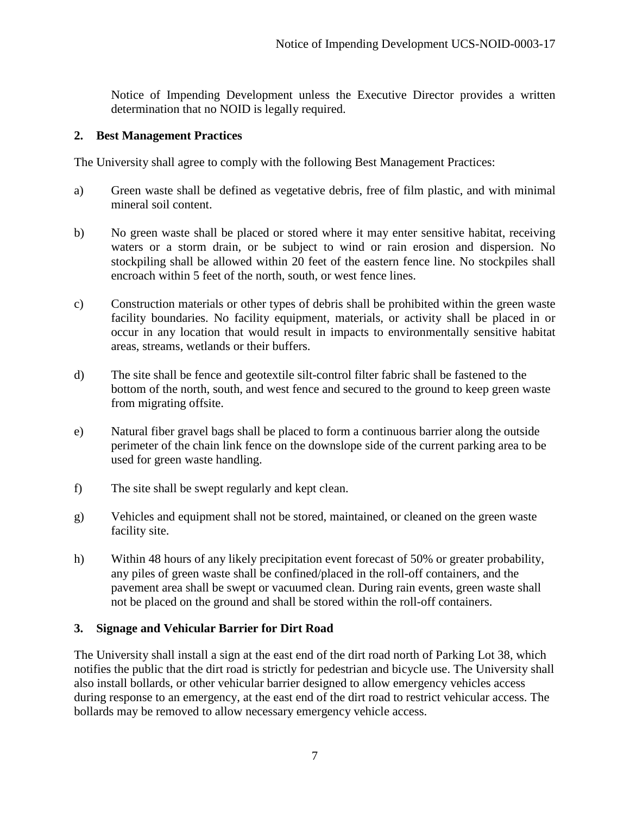Notice of Impending Development unless the Executive Director provides a written determination that no NOID is legally required.

#### <span id="page-6-0"></span>**2. Best Management Practices**

The University shall agree to comply with the following Best Management Practices:

- a) Green waste shall be defined as vegetative debris, free of film plastic, and with minimal mineral soil content.
- b) No green waste shall be placed or stored where it may enter sensitive habitat, receiving waters or a storm drain, or be subject to wind or rain erosion and dispersion. No stockpiling shall be allowed within 20 feet of the eastern fence line. No stockpiles shall encroach within 5 feet of the north, south, or west fence lines.
- c) Construction materials or other types of debris shall be prohibited within the green waste facility boundaries. No facility equipment, materials, or activity shall be placed in or occur in any location that would result in impacts to environmentally sensitive habitat areas, streams, wetlands or their buffers.
- d) The site shall be fence and geotextile silt-control filter fabric shall be fastened to the bottom of the north, south, and west fence and secured to the ground to keep green waste from migrating offsite.
- e) Natural fiber gravel bags shall be placed to form a continuous barrier along the outside perimeter of the chain link fence on the downslope side of the current parking area to be used for green waste handling.
- f) The site shall be swept regularly and kept clean.
- g) Vehicles and equipment shall not be stored, maintained, or cleaned on the green waste facility site.
- h) Within 48 hours of any likely precipitation event forecast of 50% or greater probability, any piles of green waste shall be confined/placed in the roll-off containers, and the pavement area shall be swept or vacuumed clean. During rain events, green waste shall not be placed on the ground and shall be stored within the roll-off containers.

# <span id="page-6-1"></span>**3. Signage and Vehicular Barrier for Dirt Road**

The University shall install a sign at the east end of the dirt road north of Parking Lot 38, which notifies the public that the dirt road is strictly for pedestrian and bicycle use. The University shall also install bollards, or other vehicular barrier designed to allow emergency vehicles access during response to an emergency, at the east end of the dirt road to restrict vehicular access. The bollards may be removed to allow necessary emergency vehicle access.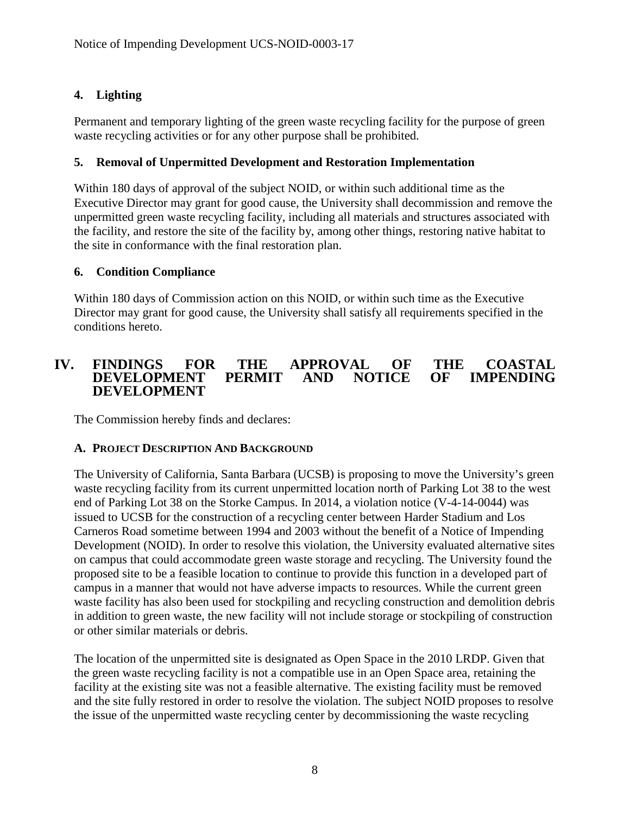# <span id="page-7-2"></span>**4. Lighting**

Permanent and temporary lighting of the green waste recycling facility for the purpose of green waste recycling activities or for any other purpose shall be prohibited.

# <span id="page-7-0"></span>**5. Removal of Unpermitted Development and Restoration Implementation**

Within 180 days of approval of the subject NOID, or within such additional time as the Executive Director may grant for good cause, the University shall decommission and remove the unpermitted green waste recycling facility, including all materials and structures associated with the facility, and restore the site of the facility by, among other things, restoring native habitat to the site in conformance with the final restoration plan.

# <span id="page-7-1"></span>**6. Condition Compliance**

Within 180 days of Commission action on this NOID, or within such time as the Executive Director may grant for good cause, the University shall satisfy all requirements specified in the conditions hereto.

# <span id="page-7-3"></span>**IV. FINDINGS FOR THE APPROVAL OF THE COASTAL**   $\bf DEVELOPMENT$ **DEVELOPMENT**

The Commission hereby finds and declares:

# <span id="page-7-4"></span>**A. PROJECT DESCRIPTION AND BACKGROUND**

The University of California, Santa Barbara (UCSB) is proposing to move the University's green waste recycling facility from its current unpermitted location north of Parking Lot 38 to the west end of Parking Lot 38 on the Storke Campus. In 2014, a violation notice (V-4-14-0044) was issued to UCSB for the construction of a recycling center between Harder Stadium and Los Carneros Road sometime between 1994 and 2003 without the benefit of a Notice of Impending Development (NOID). In order to resolve this violation, the University evaluated alternative sites on campus that could accommodate green waste storage and recycling. The University found the proposed site to be a feasible location to continue to provide this function in a developed part of campus in a manner that would not have adverse impacts to resources. While the current green waste facility has also been used for stockpiling and recycling construction and demolition debris in addition to green waste, the new facility will not include storage or stockpiling of construction or other similar materials or debris.

The location of the unpermitted site is designated as Open Space in the 2010 LRDP. Given that the green waste recycling facility is not a compatible use in an Open Space area, retaining the facility at the existing site was not a feasible alternative. The existing facility must be removed and the site fully restored in order to resolve the violation. The subject NOID proposes to resolve the issue of the unpermitted waste recycling center by decommissioning the waste recycling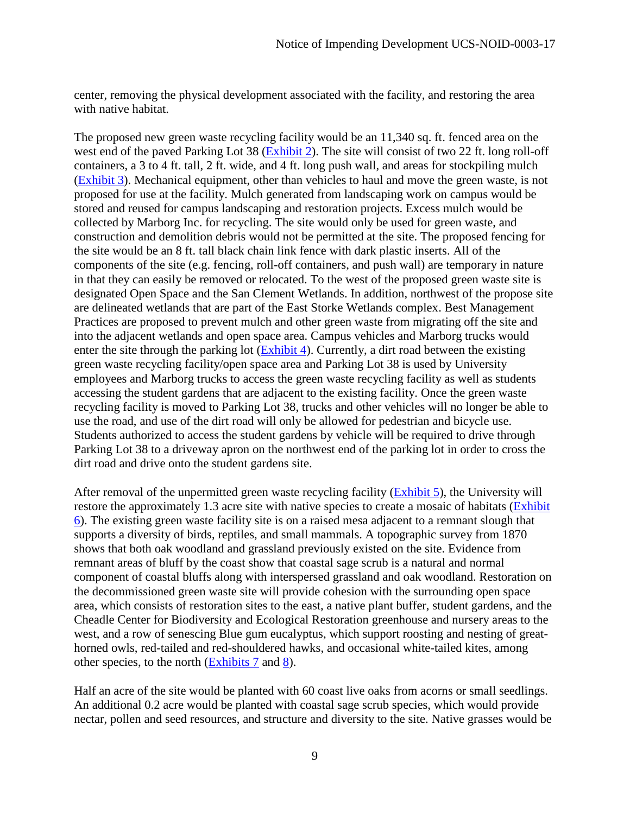center, removing the physical development associated with the facility, and restoring the area with native habitat.

The proposed new green waste recycling facility would be an 11,340 sq. ft. fenced area on the west end of the paved Parking Lot 38 (**Exhibit 2**). The site will consist of two 22 ft. long roll-off containers, a 3 to 4 ft. tall, 2 ft. wide, and 4 ft. long push wall, and areas for stockpiling mulch [\(Exhibit 3\)](https://documents.coastal.ca.gov/reports/2017/9/Th9a/Th9a-9-2017-exhibits.pdf). Mechanical equipment, other than vehicles to haul and move the green waste, is not proposed for use at the facility. Mulch generated from landscaping work on campus would be stored and reused for campus landscaping and restoration projects. Excess mulch would be collected by Marborg Inc. for recycling. The site would only be used for green waste, and construction and demolition debris would not be permitted at the site. The proposed fencing for the site would be an 8 ft. tall black chain link fence with dark plastic inserts. All of the components of the site (e.g. fencing, roll-off containers, and push wall) are temporary in nature in that they can easily be removed or relocated. To the west of the proposed green waste site is designated Open Space and the San Clement Wetlands. In addition, northwest of the propose site are delineated wetlands that are part of the East Storke Wetlands complex. Best Management Practices are proposed to prevent mulch and other green waste from migrating off the site and into the adjacent wetlands and open space area. Campus vehicles and Marborg trucks would enter the site through the parking lot [\(Exhibit 4\)](https://documents.coastal.ca.gov/reports/2017/9/Th9a/Th9a-9-2017-exhibits.pdf). Currently, a dirt road between the existing green waste recycling facility/open space area and Parking Lot 38 is used by University employees and Marborg trucks to access the green waste recycling facility as well as students accessing the student gardens that are adjacent to the existing facility. Once the green waste recycling facility is moved to Parking Lot 38, trucks and other vehicles will no longer be able to use the road, and use of the dirt road will only be allowed for pedestrian and bicycle use. Students authorized to access the student gardens by vehicle will be required to drive through Parking Lot 38 to a driveway apron on the northwest end of the parking lot in order to cross the dirt road and drive onto the student gardens site.

After removal of the unpermitted green waste recycling facility [\(Exhibit 5\)](https://documents.coastal.ca.gov/reports/2017/9/Th9a/Th9a-9-2017-exhibits.pdf), the University will restore the approximately 1.3 acre site with native species to create a mosaic of habitats [\(Exhibit](https://documents.coastal.ca.gov/reports/2017/9/Th9a/Th9a-9-2017-exhibits.pdf)  [6\)](https://documents.coastal.ca.gov/reports/2017/9/Th9a/Th9a-9-2017-exhibits.pdf). The existing green waste facility site is on a raised mesa adjacent to a remnant slough that supports a diversity of birds, reptiles, and small mammals. A topographic survey from 1870 shows that both oak woodland and grassland previously existed on the site. Evidence from remnant areas of bluff by the coast show that coastal sage scrub is a natural and normal component of coastal bluffs along with interspersed grassland and oak woodland. Restoration on the decommissioned green waste site will provide cohesion with the surrounding open space area, which consists of restoration sites to the east, a native plant buffer, student gardens, and the Cheadle Center for Biodiversity and Ecological Restoration greenhouse and nursery areas to the west, and a row of senescing Blue gum eucalyptus, which support roosting and nesting of greathorned owls, red-tailed and red-shouldered hawks, and occasional white-tailed kites, among other species, to the north [\(Exhibits 7](https://documents.coastal.ca.gov/reports/2017/9/Th9a/Th9a-9-2017-exhibits.pdf) and [8\)](https://documents.coastal.ca.gov/reports/2017/9/Th9a/Th9a-9-2017-exhibits.pdf).

Half an acre of the site would be planted with 60 coast live oaks from acorns or small seedlings. An additional 0.2 acre would be planted with coastal sage scrub species, which would provide nectar, pollen and seed resources, and structure and diversity to the site. Native grasses would be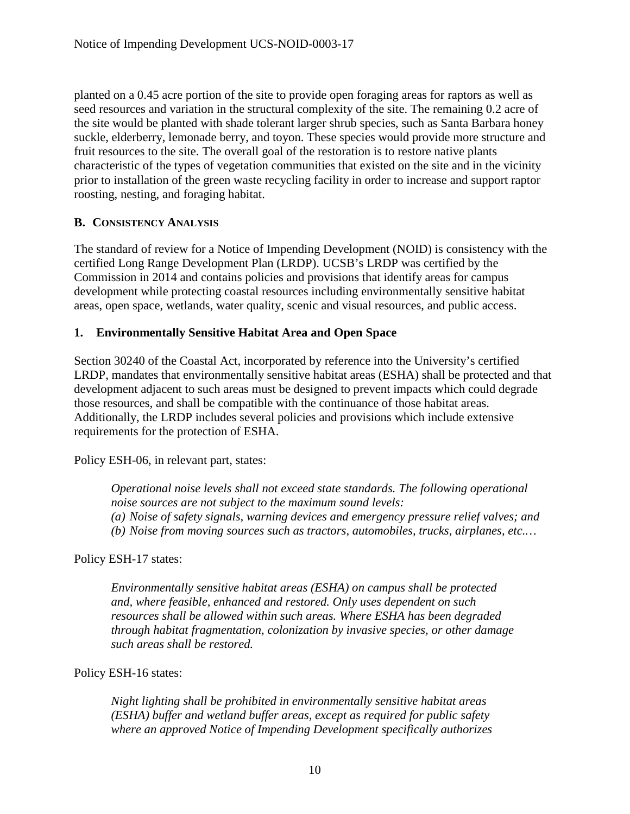planted on a 0.45 acre portion of the site to provide open foraging areas for raptors as well as seed resources and variation in the structural complexity of the site. The remaining 0.2 acre of the site would be planted with shade tolerant larger shrub species, such as Santa Barbara honey suckle, elderberry, lemonade berry, and toyon. These species would provide more structure and fruit resources to the site. The overall goal of the restoration is to restore native plants characteristic of the types of vegetation communities that existed on the site and in the vicinity prior to installation of the green waste recycling facility in order to increase and support raptor roosting, nesting, and foraging habitat.

# <span id="page-9-0"></span>**B. CONSISTENCY ANALYSIS**

The standard of review for a Notice of Impending Development (NOID) is consistency with the certified Long Range Development Plan (LRDP). UCSB's LRDP was certified by the Commission in 2014 and contains policies and provisions that identify areas for campus development while protecting coastal resources including environmentally sensitive habitat areas, open space, wetlands, water quality, scenic and visual resources, and public access.

# <span id="page-9-1"></span>**1. Environmentally Sensitive Habitat Area and Open Space**

Section 30240 of the Coastal Act, incorporated by reference into the University's certified LRDP, mandates that environmentally sensitive habitat areas (ESHA) shall be protected and that development adjacent to such areas must be designed to prevent impacts which could degrade those resources, and shall be compatible with the continuance of those habitat areas. Additionally, the LRDP includes several policies and provisions which include extensive requirements for the protection of ESHA.

Policy ESH-06, in relevant part, states:

*Operational noise levels shall not exceed state standards. The following operational noise sources are not subject to the maximum sound levels: (a) Noise of safety signals, warning devices and emergency pressure relief valves; and (b) Noise from moving sources such as tractors, automobiles, trucks, airplanes, etc.…* 

Policy ESH-17 states:

*Environmentally sensitive habitat areas (ESHA) on campus shall be protected and, where feasible, enhanced and restored. Only uses dependent on such resources shall be allowed within such areas. Where ESHA has been degraded through habitat fragmentation, colonization by invasive species, or other damage such areas shall be restored.* 

# Policy ESH-16 states:

*Night lighting shall be prohibited in environmentally sensitive habitat areas (ESHA) buffer and wetland buffer areas, except as required for public safety where an approved Notice of Impending Development specifically authorizes*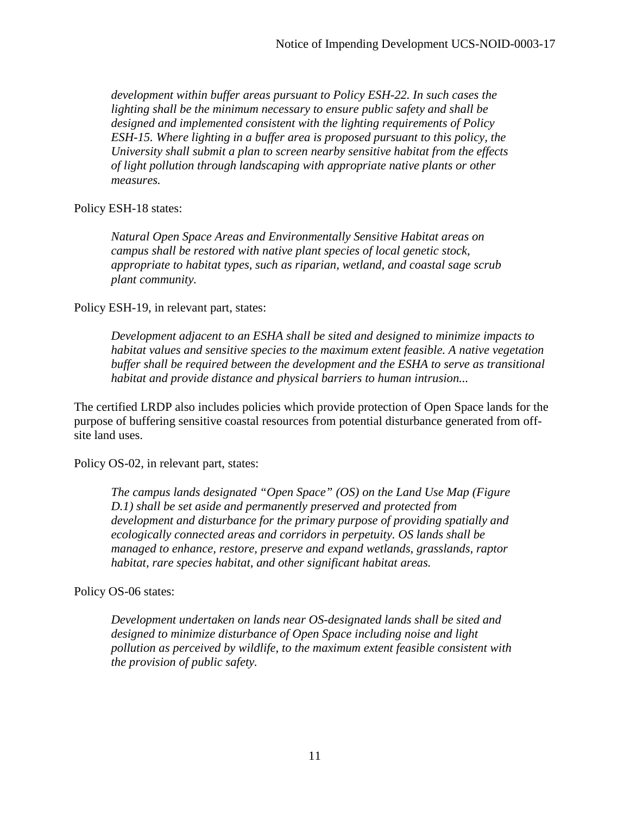*development within buffer areas pursuant to Policy ESH-22. In such cases the lighting shall be the minimum necessary to ensure public safety and shall be designed and implemented consistent with the lighting requirements of Policy ESH-15. Where lighting in a buffer area is proposed pursuant to this policy, the University shall submit a plan to screen nearby sensitive habitat from the effects of light pollution through landscaping with appropriate native plants or other measures.*

Policy ESH-18 states:

*Natural Open Space Areas and Environmentally Sensitive Habitat areas on campus shall be restored with native plant species of local genetic stock, appropriate to habitat types, such as riparian, wetland, and coastal sage scrub plant community.* 

Policy ESH-19, in relevant part, states:

*Development adjacent to an ESHA shall be sited and designed to minimize impacts to habitat values and sensitive species to the maximum extent feasible. A native vegetation buffer shall be required between the development and the ESHA to serve as transitional habitat and provide distance and physical barriers to human intrusion...* 

The certified LRDP also includes policies which provide protection of Open Space lands for the purpose of buffering sensitive coastal resources from potential disturbance generated from offsite land uses.

Policy OS-02, in relevant part, states:

*The campus lands designated "Open Space" (OS) on the Land Use Map (Figure D.1) shall be set aside and permanently preserved and protected from development and disturbance for the primary purpose of providing spatially and ecologically connected areas and corridors in perpetuity. OS lands shall be managed to enhance, restore, preserve and expand wetlands, grasslands, raptor habitat, rare species habitat, and other significant habitat areas.* 

Policy OS-06 states:

*Development undertaken on lands near OS-designated lands shall be sited and designed to minimize disturbance of Open Space including noise and light pollution as perceived by wildlife, to the maximum extent feasible consistent with the provision of public safety.*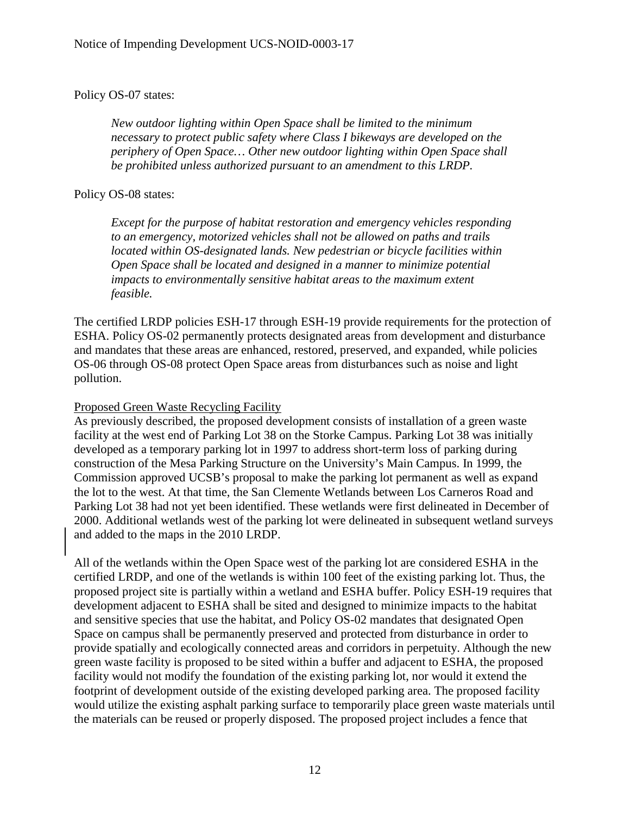#### Policy OS-07 states:

*New outdoor lighting within Open Space shall be limited to the minimum necessary to protect public safety where Class I bikeways are developed on the periphery of Open Space… Other new outdoor lighting within Open Space shall be prohibited unless authorized pursuant to an amendment to this LRDP.* 

#### Policy OS-08 states:

*Except for the purpose of habitat restoration and emergency vehicles responding to an emergency, motorized vehicles shall not be allowed on paths and trails located within OS-designated lands. New pedestrian or bicycle facilities within Open Space shall be located and designed in a manner to minimize potential impacts to environmentally sensitive habitat areas to the maximum extent feasible.* 

The certified LRDP policies ESH-17 through ESH-19 provide requirements for the protection of ESHA. Policy OS-02 permanently protects designated areas from development and disturbance and mandates that these areas are enhanced, restored, preserved, and expanded, while policies OS-06 through OS-08 protect Open Space areas from disturbances such as noise and light pollution.

#### Proposed Green Waste Recycling Facility

As previously described, the proposed development consists of installation of a green waste facility at the west end of Parking Lot 38 on the Storke Campus. Parking Lot 38 was initially developed as a temporary parking lot in 1997 to address short-term loss of parking during construction of the Mesa Parking Structure on the University's Main Campus. In 1999, the Commission approved UCSB's proposal to make the parking lot permanent as well as expand the lot to the west. At that time, the San Clemente Wetlands between Los Carneros Road and Parking Lot 38 had not yet been identified. These wetlands were first delineated in December of 2000. Additional wetlands west of the parking lot were delineated in subsequent wetland surveys and added to the maps in the 2010 LRDP.

All of the wetlands within the Open Space west of the parking lot are considered ESHA in the certified LRDP, and one of the wetlands is within 100 feet of the existing parking lot. Thus, the proposed project site is partially within a wetland and ESHA buffer. Policy ESH-19 requires that development adjacent to ESHA shall be sited and designed to minimize impacts to the habitat and sensitive species that use the habitat, and Policy OS-02 mandates that designated Open Space on campus shall be permanently preserved and protected from disturbance in order to provide spatially and ecologically connected areas and corridors in perpetuity. Although the new green waste facility is proposed to be sited within a buffer and adjacent to ESHA, the proposed facility would not modify the foundation of the existing parking lot, nor would it extend the footprint of development outside of the existing developed parking area. The proposed facility would utilize the existing asphalt parking surface to temporarily place green waste materials until the materials can be reused or properly disposed. The proposed project includes a fence that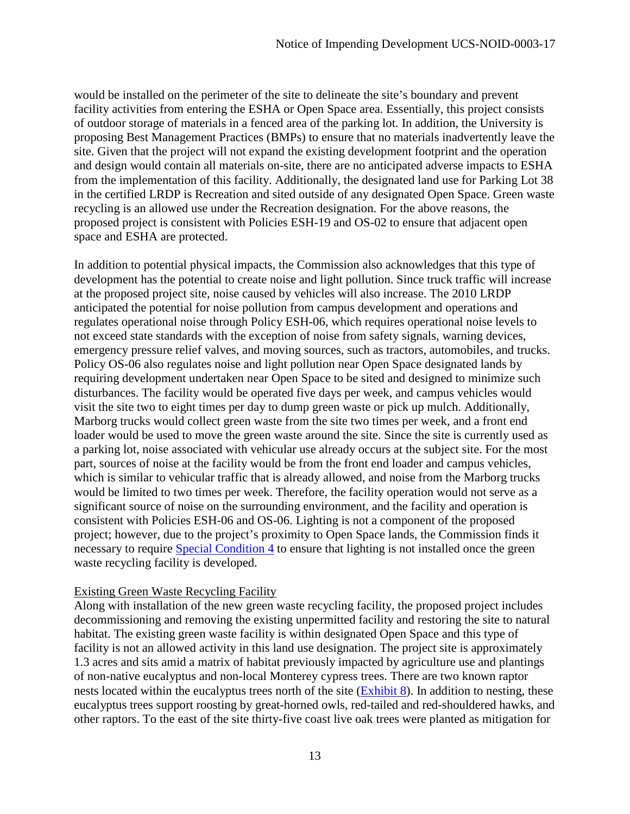would be installed on the perimeter of the site to delineate the site's boundary and prevent facility activities from entering the ESHA or Open Space area. Essentially, this project consists of outdoor storage of materials in a fenced area of the parking lot. In addition, the University is proposing Best Management Practices (BMPs) to ensure that no materials inadvertently leave the site. Given that the project will not expand the existing development footprint and the operation and design would contain all materials on-site, there are no anticipated adverse impacts to ESHA from the implementation of this facility. Additionally, the designated land use for Parking Lot 38 in the certified LRDP is Recreation and sited outside of any designated Open Space. Green waste recycling is an allowed use under the Recreation designation. For the above reasons, the proposed project is consistent with Policies ESH-19 and OS-02 to ensure that adjacent open space and ESHA are protected.

In addition to potential physical impacts, the Commission also acknowledges that this type of development has the potential to create noise and light pollution. Since truck traffic will increase at the proposed project site, noise caused by vehicles will also increase. The 2010 LRDP anticipated the potential for noise pollution from campus development and operations and regulates operational noise through Policy ESH-06, which requires operational noise levels to not exceed state standards with the exception of noise from safety signals, warning devices, emergency pressure relief valves, and moving sources, such as tractors, automobiles, and trucks. Policy OS-06 also regulates noise and light pollution near Open Space designated lands by requiring development undertaken near Open Space to be sited and designed to minimize such disturbances. The facility would be operated five days per week, and campus vehicles would visit the site two to eight times per day to dump green waste or pick up mulch. Additionally, Marborg trucks would collect green waste from the site two times per week, and a front end loader would be used to move the green waste around the site. Since the site is currently used as a parking lot, noise associated with vehicular use already occurs at the subject site. For the most part, sources of noise at the facility would be from the front end loader and campus vehicles, which is similar to vehicular traffic that is already allowed, and noise from the Marborg trucks would be limited to two times per week. Therefore, the facility operation would not serve as a significant source of noise on the surrounding environment, and the facility and operation is consistent with Policies ESH-06 and OS-06. Lighting is not a component of the proposed project; however, due to the project's proximity to Open Space lands, the Commission finds it necessary to require [Special Condition 4](#page-7-2) to ensure that lighting is not installed once the green waste recycling facility is developed.

# Existing Green Waste Recycling Facility

Along with installation of the new green waste recycling facility, the proposed project includes decommissioning and removing the existing unpermitted facility and restoring the site to natural habitat. The existing green waste facility is within designated Open Space and this type of facility is not an allowed activity in this land use designation. The project site is approximately 1.3 acres and sits amid a matrix of habitat previously impacted by agriculture use and plantings of non-native eucalyptus and non-local Monterey cypress trees. There are two known raptor nests located within the eucalyptus trees north of the site [\(Exhibit 8\)](https://documents.coastal.ca.gov/reports/2017/9/Th9a/Th9a-9-2017-exhibits.pdf). In addition to nesting, these eucalyptus trees support roosting by great-horned owls, red-tailed and red-shouldered hawks, and other raptors. To the east of the site thirty-five coast live oak trees were planted as mitigation for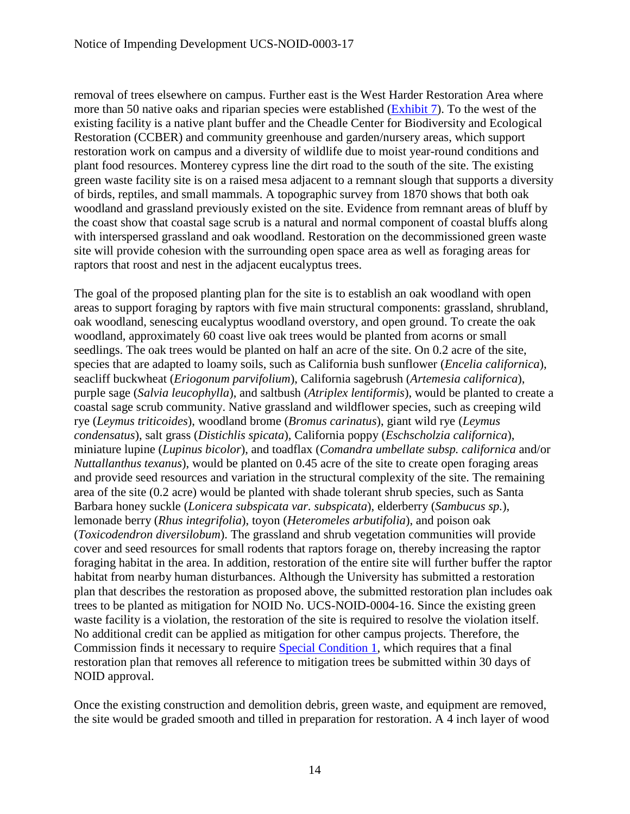removal of trees elsewhere on campus. Further east is the West Harder Restoration Area where more than 50 native oaks and riparian species were established [\(Exhibit 7\)](https://documents.coastal.ca.gov/reports/2017/9/Th9a/Th9a-9-2017-exhibits.pdf). To the west of the existing facility is a native plant buffer and the Cheadle Center for Biodiversity and Ecological Restoration (CCBER) and community greenhouse and garden/nursery areas, which support restoration work on campus and a diversity of wildlife due to moist year-round conditions and plant food resources. Monterey cypress line the dirt road to the south of the site. The existing green waste facility site is on a raised mesa adjacent to a remnant slough that supports a diversity of birds, reptiles, and small mammals. A topographic survey from 1870 shows that both oak woodland and grassland previously existed on the site. Evidence from remnant areas of bluff by the coast show that coastal sage scrub is a natural and normal component of coastal bluffs along with interspersed grassland and oak woodland. Restoration on the decommissioned green waste site will provide cohesion with the surrounding open space area as well as foraging areas for raptors that roost and nest in the adjacent eucalyptus trees.

The goal of the proposed planting plan for the site is to establish an oak woodland with open areas to support foraging by raptors with five main structural components: grassland, shrubland, oak woodland, senescing eucalyptus woodland overstory, and open ground. To create the oak woodland, approximately 60 coast live oak trees would be planted from acorns or small seedlings. The oak trees would be planted on half an acre of the site. On 0.2 acre of the site, species that are adapted to loamy soils, such as California bush sunflower (*Encelia californica*), seacliff buckwheat (*Eriogonum parvifolium*), California sagebrush (*Artemesia californica*), purple sage (*Salvia leucophylla*), and saltbush (*Atriplex lentiformis*), would be planted to create a coastal sage scrub community. Native grassland and wildflower species, such as creeping wild rye (*Leymus triticoides*), woodland brome (*Bromus carinatus*), giant wild rye (*Leymus condensatus*), salt grass (*Distichlis spicata*), California poppy (*Eschscholzia californica*), miniature lupine (*Lupinus bicolor*), and toadflax (*Comandra umbellate subsp. californica* and/or *Nuttallanthus texanus*), would be planted on 0.45 acre of the site to create open foraging areas and provide seed resources and variation in the structural complexity of the site. The remaining area of the site (0.2 acre) would be planted with shade tolerant shrub species, such as Santa Barbara honey suckle (*Lonicera subspicata var. subspicata*), elderberry (*Sambucus sp.*), lemonade berry (*Rhus integrifolia*), toyon (*Heteromeles arbutifolia*), and poison oak (*Toxicodendron diversilobum*). The grassland and shrub vegetation communities will provide cover and seed resources for small rodents that raptors forage on, thereby increasing the raptor foraging habitat in the area. In addition, restoration of the entire site will further buffer the raptor habitat from nearby human disturbances. Although the University has submitted a restoration plan that describes the restoration as proposed above, the submitted restoration plan includes oak trees to be planted as mitigation for NOID No. UCS-NOID-0004-16. Since the existing green waste facility is a violation, the restoration of the site is required to resolve the violation itself. No additional credit can be applied as mitigation for other campus projects. Therefore, the Commission finds it necessary to require [Special Condition 1,](#page-5-0) which requires that a final restoration plan that removes all reference to mitigation trees be submitted within 30 days of NOID approval.

Once the existing construction and demolition debris, green waste, and equipment are removed, the site would be graded smooth and tilled in preparation for restoration. A 4 inch layer of wood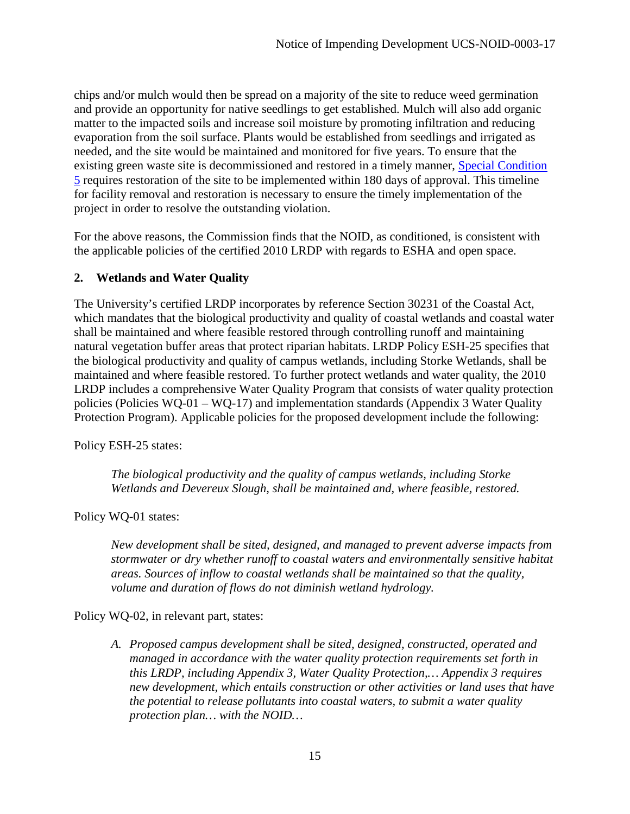chips and/or mulch would then be spread on a majority of the site to reduce weed germination and provide an opportunity for native seedlings to get established. Mulch will also add organic matter to the impacted soils and increase soil moisture by promoting infiltration and reducing evaporation from the soil surface. Plants would be established from seedlings and irrigated as needed, and the site would be maintained and monitored for five years. To ensure that the existing green waste site is decommissioned and restored in a timely manner, [Special Condition](#page-7-0)  [5](#page-7-0) requires restoration of the site to be implemented within 180 days of approval. This timeline for facility removal and restoration is necessary to ensure the timely implementation of the project in order to resolve the outstanding violation.

For the above reasons, the Commission finds that the NOID, as conditioned, is consistent with the applicable policies of the certified 2010 LRDP with regards to ESHA and open space.

# <span id="page-14-0"></span>**2. Wetlands and Water Quality**

The University's certified LRDP incorporates by reference Section 30231 of the Coastal Act, which mandates that the biological productivity and quality of coastal wetlands and coastal water shall be maintained and where feasible restored through controlling runoff and maintaining natural vegetation buffer areas that protect riparian habitats. LRDP Policy ESH-25 specifies that the biological productivity and quality of campus wetlands, including Storke Wetlands, shall be maintained and where feasible restored. To further protect wetlands and water quality, the 2010 LRDP includes a comprehensive Water Quality Program that consists of water quality protection policies (Policies WQ-01 – WQ-17) and implementation standards (Appendix 3 Water Quality Protection Program). Applicable policies for the proposed development include the following:

Policy ESH-25 states:

*The biological productivity and the quality of campus wetlands, including Storke Wetlands and Devereux Slough, shall be maintained and, where feasible, restored.* 

Policy WQ-01 states:

*New development shall be sited, designed, and managed to prevent adverse impacts from stormwater or dry whether runoff to coastal waters and environmentally sensitive habitat areas. Sources of inflow to coastal wetlands shall be maintained so that the quality, volume and duration of flows do not diminish wetland hydrology.* 

Policy WQ-02, in relevant part, states:

*A. Proposed campus development shall be sited, designed, constructed, operated and managed in accordance with the water quality protection requirements set forth in this LRDP, including Appendix 3, Water Quality Protection,… Appendix 3 requires new development, which entails construction or other activities or land uses that have the potential to release pollutants into coastal waters, to submit a water quality protection plan… with the NOID…*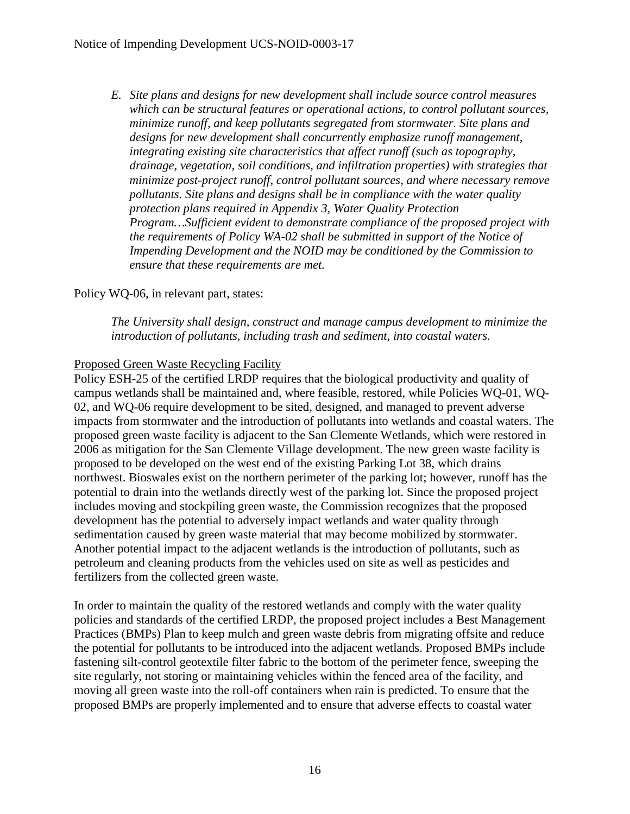*E. Site plans and designs for new development shall include source control measures which can be structural features or operational actions, to control pollutant sources, minimize runoff, and keep pollutants segregated from stormwater. Site plans and designs for new development shall concurrently emphasize runoff management, integrating existing site characteristics that affect runoff (such as topography, drainage, vegetation, soil conditions, and infiltration properties) with strategies that minimize post-project runoff, control pollutant sources, and where necessary remove pollutants. Site plans and designs shall be in compliance with the water quality protection plans required in Appendix 3, Water Quality Protection Program…Sufficient evident to demonstrate compliance of the proposed project with the requirements of Policy WA-02 shall be submitted in support of the Notice of Impending Development and the NOID may be conditioned by the Commission to ensure that these requirements are met.* 

# Policy WQ-06, in relevant part, states:

*The University shall design, construct and manage campus development to minimize the introduction of pollutants, including trash and sediment, into coastal waters.* 

# Proposed Green Waste Recycling Facility

Policy ESH-25 of the certified LRDP requires that the biological productivity and quality of campus wetlands shall be maintained and, where feasible, restored, while Policies WQ-01, WQ-02, and WQ-06 require development to be sited, designed, and managed to prevent adverse impacts from stormwater and the introduction of pollutants into wetlands and coastal waters. The proposed green waste facility is adjacent to the San Clemente Wetlands, which were restored in 2006 as mitigation for the San Clemente Village development. The new green waste facility is proposed to be developed on the west end of the existing Parking Lot 38, which drains northwest. Bioswales exist on the northern perimeter of the parking lot; however, runoff has the potential to drain into the wetlands directly west of the parking lot. Since the proposed project includes moving and stockpiling green waste, the Commission recognizes that the proposed development has the potential to adversely impact wetlands and water quality through sedimentation caused by green waste material that may become mobilized by stormwater. Another potential impact to the adjacent wetlands is the introduction of pollutants, such as petroleum and cleaning products from the vehicles used on site as well as pesticides and fertilizers from the collected green waste.

In order to maintain the quality of the restored wetlands and comply with the water quality policies and standards of the certified LRDP, the proposed project includes a Best Management Practices (BMPs) Plan to keep mulch and green waste debris from migrating offsite and reduce the potential for pollutants to be introduced into the adjacent wetlands. Proposed BMPs include fastening silt-control geotextile filter fabric to the bottom of the perimeter fence, sweeping the site regularly, not storing or maintaining vehicles within the fenced area of the facility, and moving all green waste into the roll-off containers when rain is predicted. To ensure that the proposed BMPs are properly implemented and to ensure that adverse effects to coastal water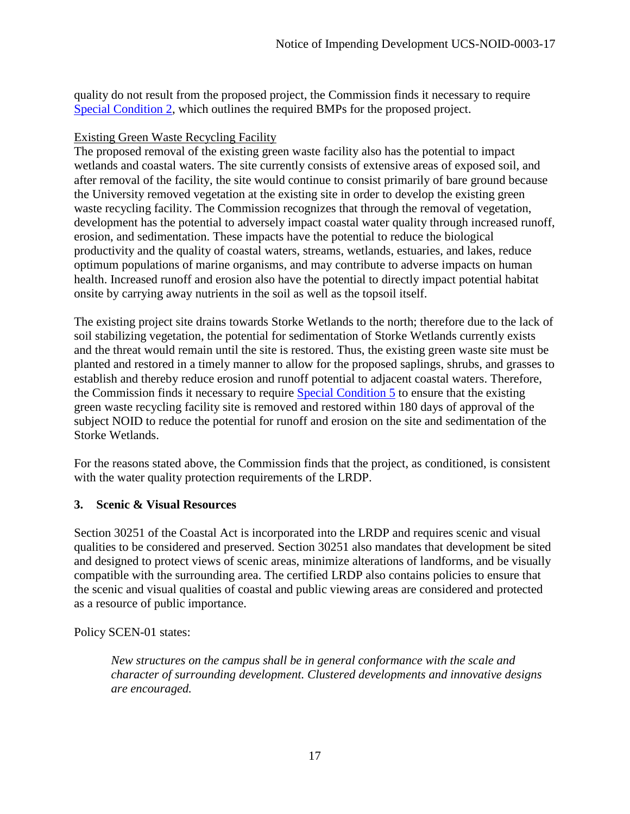quality do not result from the proposed project, the Commission finds it necessary to require [Special Condition 2,](#page-6-0) which outlines the required BMPs for the proposed project.

# Existing Green Waste Recycling Facility

The proposed removal of the existing green waste facility also has the potential to impact wetlands and coastal waters. The site currently consists of extensive areas of exposed soil, and after removal of the facility, the site would continue to consist primarily of bare ground because the University removed vegetation at the existing site in order to develop the existing green waste recycling facility. The Commission recognizes that through the removal of vegetation, development has the potential to adversely impact coastal water quality through increased runoff, erosion, and sedimentation. These impacts have the potential to reduce the biological productivity and the quality of coastal waters, streams, wetlands, estuaries, and lakes, reduce optimum populations of marine organisms, and may contribute to adverse impacts on human health. Increased runoff and erosion also have the potential to directly impact potential habitat onsite by carrying away nutrients in the soil as well as the topsoil itself.

The existing project site drains towards Storke Wetlands to the north; therefore due to the lack of soil stabilizing vegetation, the potential for sedimentation of Storke Wetlands currently exists and the threat would remain until the site is restored. Thus, the existing green waste site must be planted and restored in a timely manner to allow for the proposed saplings, shrubs, and grasses to establish and thereby reduce erosion and runoff potential to adjacent coastal waters. Therefore, the Commission finds it necessary to require [Special Condition 5](#page-7-0) to ensure that the existing green waste recycling facility site is removed and restored within 180 days of approval of the subject NOID to reduce the potential for runoff and erosion on the site and sedimentation of the Storke Wetlands.

For the reasons stated above, the Commission finds that the project, as conditioned, is consistent with the water quality protection requirements of the LRDP.

# <span id="page-16-0"></span>**3. Scenic & Visual Resources**

Section 30251 of the Coastal Act is incorporated into the LRDP and requires scenic and visual qualities to be considered and preserved. Section 30251 also mandates that development be sited and designed to protect views of scenic areas, minimize alterations of landforms, and be visually compatible with the surrounding area. The certified LRDP also contains policies to ensure that the scenic and visual qualities of coastal and public viewing areas are considered and protected as a resource of public importance.

Policy SCEN-01 states:

*New structures on the campus shall be in general conformance with the scale and character of surrounding development. Clustered developments and innovative designs are encouraged.*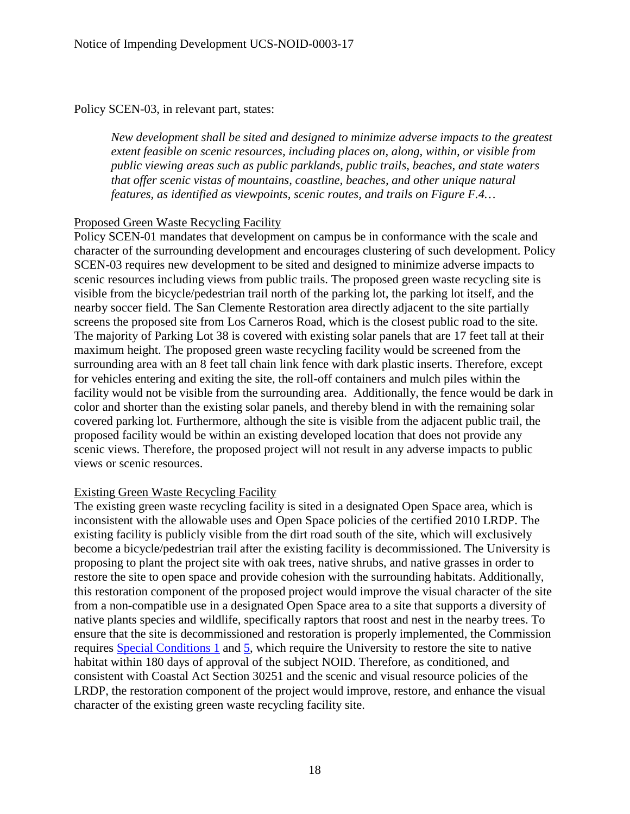Policy SCEN-03, in relevant part, states:

*New development shall be sited and designed to minimize adverse impacts to the greatest extent feasible on scenic resources, including places on, along, within, or visible from public viewing areas such as public parklands, public trails, beaches, and state waters that offer scenic vistas of mountains, coastline, beaches, and other unique natural features, as identified as viewpoints, scenic routes, and trails on Figure F.4…* 

#### Proposed Green Waste Recycling Facility

Policy SCEN-01 mandates that development on campus be in conformance with the scale and character of the surrounding development and encourages clustering of such development. Policy SCEN-03 requires new development to be sited and designed to minimize adverse impacts to scenic resources including views from public trails. The proposed green waste recycling site is visible from the bicycle/pedestrian trail north of the parking lot, the parking lot itself, and the nearby soccer field. The San Clemente Restoration area directly adjacent to the site partially screens the proposed site from Los Carneros Road, which is the closest public road to the site. The majority of Parking Lot 38 is covered with existing solar panels that are 17 feet tall at their maximum height. The proposed green waste recycling facility would be screened from the surrounding area with an 8 feet tall chain link fence with dark plastic inserts. Therefore, except for vehicles entering and exiting the site, the roll-off containers and mulch piles within the facility would not be visible from the surrounding area. Additionally, the fence would be dark in color and shorter than the existing solar panels, and thereby blend in with the remaining solar covered parking lot. Furthermore, although the site is visible from the adjacent public trail, the proposed facility would be within an existing developed location that does not provide any scenic views. Therefore, the proposed project will not result in any adverse impacts to public views or scenic resources.

#### Existing Green Waste Recycling Facility

The existing green waste recycling facility is sited in a designated Open Space area, which is inconsistent with the allowable uses and Open Space policies of the certified 2010 LRDP. The existing facility is publicly visible from the dirt road south of the site, which will exclusively become a bicycle/pedestrian trail after the existing facility is decommissioned. The University is proposing to plant the project site with oak trees, native shrubs, and native grasses in order to restore the site to open space and provide cohesion with the surrounding habitats. Additionally, this restoration component of the proposed project would improve the visual character of the site from a non-compatible use in a designated Open Space area to a site that supports a diversity of native plants species and wildlife, specifically raptors that roost and nest in the nearby trees. To ensure that the site is decommissioned and restoration is properly implemented, the Commission requires [Special Conditions 1](#page-5-0) and [5,](#page-7-0) which require the University to restore the site to native habitat within 180 days of approval of the subject NOID. Therefore, as conditioned, and consistent with Coastal Act Section 30251 and the scenic and visual resource policies of the LRDP, the restoration component of the project would improve, restore, and enhance the visual character of the existing green waste recycling facility site.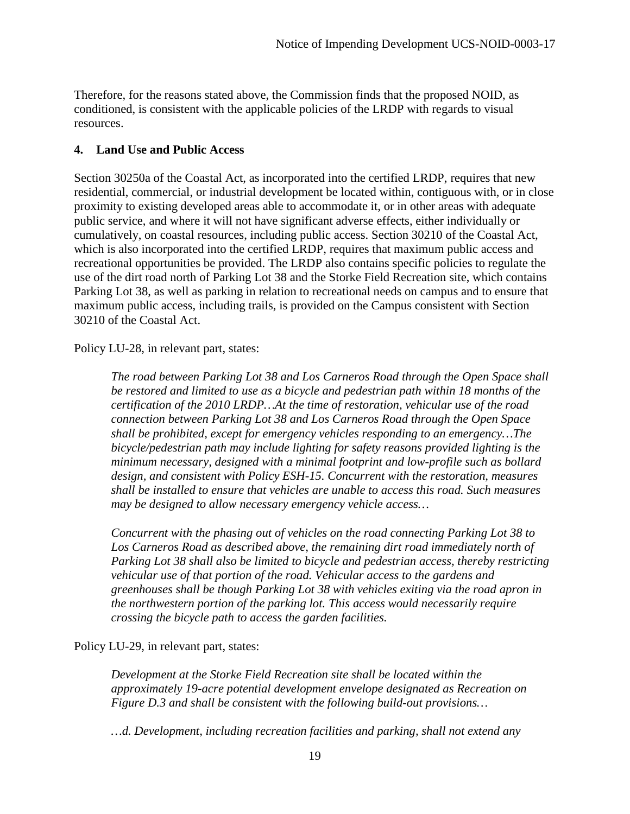Therefore, for the reasons stated above, the Commission finds that the proposed NOID, as conditioned, is consistent with the applicable policies of the LRDP with regards to visual resources.

# <span id="page-18-0"></span>**4. Land Use and Public Access**

Section 30250a of the Coastal Act, as incorporated into the certified LRDP, requires that new residential, commercial, or industrial development be located within, contiguous with, or in close proximity to existing developed areas able to accommodate it, or in other areas with adequate public service, and where it will not have significant adverse effects, either individually or cumulatively, on coastal resources, including public access. Section 30210 of the Coastal Act, which is also incorporated into the certified LRDP, requires that maximum public access and recreational opportunities be provided. The LRDP also contains specific policies to regulate the use of the dirt road north of Parking Lot 38 and the Storke Field Recreation site, which contains Parking Lot 38, as well as parking in relation to recreational needs on campus and to ensure that maximum public access, including trails, is provided on the Campus consistent with Section 30210 of the Coastal Act.

Policy LU-28, in relevant part, states:

*The road between Parking Lot 38 and Los Carneros Road through the Open Space shall be restored and limited to use as a bicycle and pedestrian path within 18 months of the certification of the 2010 LRDP…At the time of restoration, vehicular use of the road connection between Parking Lot 38 and Los Carneros Road through the Open Space shall be prohibited, except for emergency vehicles responding to an emergency…The bicycle/pedestrian path may include lighting for safety reasons provided lighting is the minimum necessary, designed with a minimal footprint and low-profile such as bollard design, and consistent with Policy ESH-15. Concurrent with the restoration, measures shall be installed to ensure that vehicles are unable to access this road. Such measures may be designed to allow necessary emergency vehicle access…*

*Concurrent with the phasing out of vehicles on the road connecting Parking Lot 38 to*  Los Carneros Road as described above, the remaining dirt road immediately north of *Parking Lot 38 shall also be limited to bicycle and pedestrian access, thereby restricting vehicular use of that portion of the road. Vehicular access to the gardens and greenhouses shall be though Parking Lot 38 with vehicles exiting via the road apron in the northwestern portion of the parking lot. This access would necessarily require crossing the bicycle path to access the garden facilities.* 

Policy LU-29, in relevant part, states:

*Development at the Storke Field Recreation site shall be located within the approximately 19-acre potential development envelope designated as Recreation on Figure D.3 and shall be consistent with the following build-out provisions…* 

*…d. Development, including recreation facilities and parking, shall not extend any*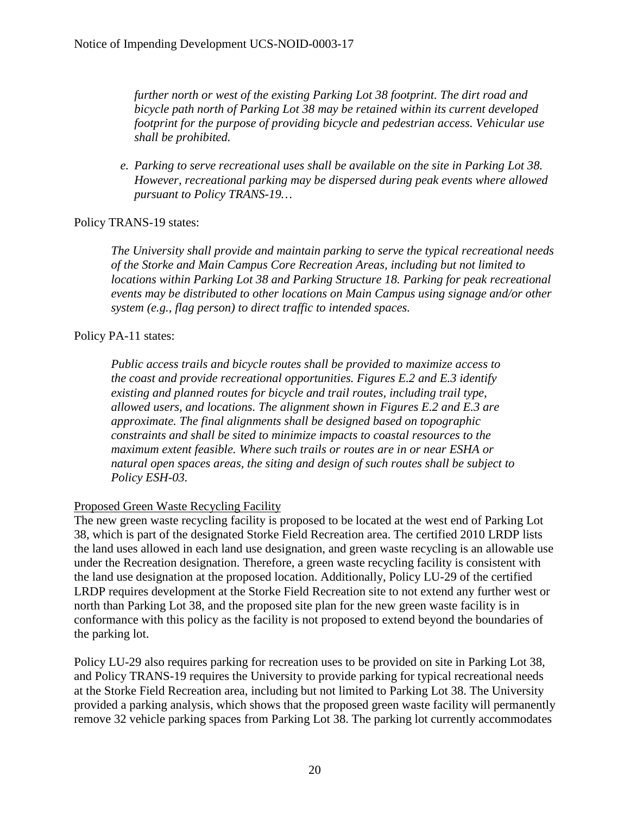*further north or west of the existing Parking Lot 38 footprint. The dirt road and bicycle path north of Parking Lot 38 may be retained within its current developed footprint for the purpose of providing bicycle and pedestrian access. Vehicular use shall be prohibited.* 

*e. Parking to serve recreational uses shall be available on the site in Parking Lot 38. However, recreational parking may be dispersed during peak events where allowed pursuant to Policy TRANS-19…* 

# Policy TRANS-19 states:

*The University shall provide and maintain parking to serve the typical recreational needs of the Storke and Main Campus Core Recreation Areas, including but not limited to locations within Parking Lot 38 and Parking Structure 18. Parking for peak recreational events may be distributed to other locations on Main Campus using signage and/or other system (e.g., flag person) to direct traffic to intended spaces.* 

# Policy PA-11 states:

*Public access trails and bicycle routes shall be provided to maximize access to the coast and provide recreational opportunities. Figures E.2 and E.3 identify existing and planned routes for bicycle and trail routes, including trail type, allowed users, and locations. The alignment shown in Figures E.2 and E.3 are approximate. The final alignments shall be designed based on topographic constraints and shall be sited to minimize impacts to coastal resources to the maximum extent feasible. Where such trails or routes are in or near ESHA or natural open spaces areas, the siting and design of such routes shall be subject to Policy ESH-03.* 

# Proposed Green Waste Recycling Facility

The new green waste recycling facility is proposed to be located at the west end of Parking Lot 38, which is part of the designated Storke Field Recreation area. The certified 2010 LRDP lists the land uses allowed in each land use designation, and green waste recycling is an allowable use under the Recreation designation. Therefore, a green waste recycling facility is consistent with the land use designation at the proposed location. Additionally, Policy LU-29 of the certified LRDP requires development at the Storke Field Recreation site to not extend any further west or north than Parking Lot 38, and the proposed site plan for the new green waste facility is in conformance with this policy as the facility is not proposed to extend beyond the boundaries of the parking lot.

Policy LU-29 also requires parking for recreation uses to be provided on site in Parking Lot 38, and Policy TRANS-19 requires the University to provide parking for typical recreational needs at the Storke Field Recreation area, including but not limited to Parking Lot 38. The University provided a parking analysis, which shows that the proposed green waste facility will permanently remove 32 vehicle parking spaces from Parking Lot 38. The parking lot currently accommodates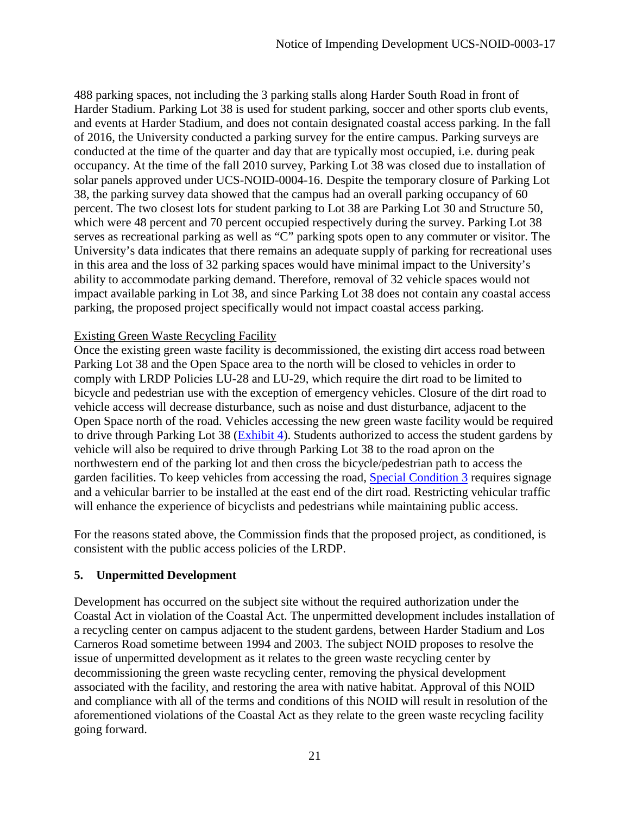488 parking spaces, not including the 3 parking stalls along Harder South Road in front of Harder Stadium. Parking Lot 38 is used for student parking, soccer and other sports club events, and events at Harder Stadium, and does not contain designated coastal access parking. In the fall of 2016, the University conducted a parking survey for the entire campus. Parking surveys are conducted at the time of the quarter and day that are typically most occupied, i.e. during peak occupancy. At the time of the fall 2010 survey, Parking Lot 38 was closed due to installation of solar panels approved under UCS-NOID-0004-16. Despite the temporary closure of Parking Lot 38, the parking survey data showed that the campus had an overall parking occupancy of 60 percent. The two closest lots for student parking to Lot 38 are Parking Lot 30 and Structure 50, which were 48 percent and 70 percent occupied respectively during the survey. Parking Lot 38 serves as recreational parking as well as "C" parking spots open to any commuter or visitor. The University's data indicates that there remains an adequate supply of parking for recreational uses in this area and the loss of 32 parking spaces would have minimal impact to the University's ability to accommodate parking demand. Therefore, removal of 32 vehicle spaces would not impact available parking in Lot 38, and since Parking Lot 38 does not contain any coastal access parking, the proposed project specifically would not impact coastal access parking.

# Existing Green Waste Recycling Facility

Once the existing green waste facility is decommissioned, the existing dirt access road between Parking Lot 38 and the Open Space area to the north will be closed to vehicles in order to comply with LRDP Policies LU-28 and LU-29, which require the dirt road to be limited to bicycle and pedestrian use with the exception of emergency vehicles. Closure of the dirt road to vehicle access will decrease disturbance, such as noise and dust disturbance, adjacent to the Open Space north of the road. Vehicles accessing the new green waste facility would be required to drive through Parking Lot 38 (**Exhibit 4**). Students authorized to access the student gardens by vehicle will also be required to drive through Parking Lot 38 to the road apron on the northwestern end of the parking lot and then cross the bicycle/pedestrian path to access the garden facilities. To keep vehicles from accessing the road, [Special Condition 3](#page-6-1) requires signage and a vehicular barrier to be installed at the east end of the dirt road. Restricting vehicular traffic will enhance the experience of bicyclists and pedestrians while maintaining public access.

For the reasons stated above, the Commission finds that the proposed project, as conditioned, is consistent with the public access policies of the LRDP.

# <span id="page-20-0"></span>**5. Unpermitted Development**

Development has occurred on the subject site without the required authorization under the Coastal Act in violation of the Coastal Act. The unpermitted development includes installation of a recycling center on campus adjacent to the student gardens, between Harder Stadium and Los Carneros Road sometime between 1994 and 2003. The subject NOID proposes to resolve the issue of unpermitted development as it relates to the green waste recycling center by decommissioning the green waste recycling center, removing the physical development associated with the facility, and restoring the area with native habitat. Approval of this NOID and compliance with all of the terms and conditions of this NOID will result in resolution of the aforementioned violations of the Coastal Act as they relate to the green waste recycling facility going forward.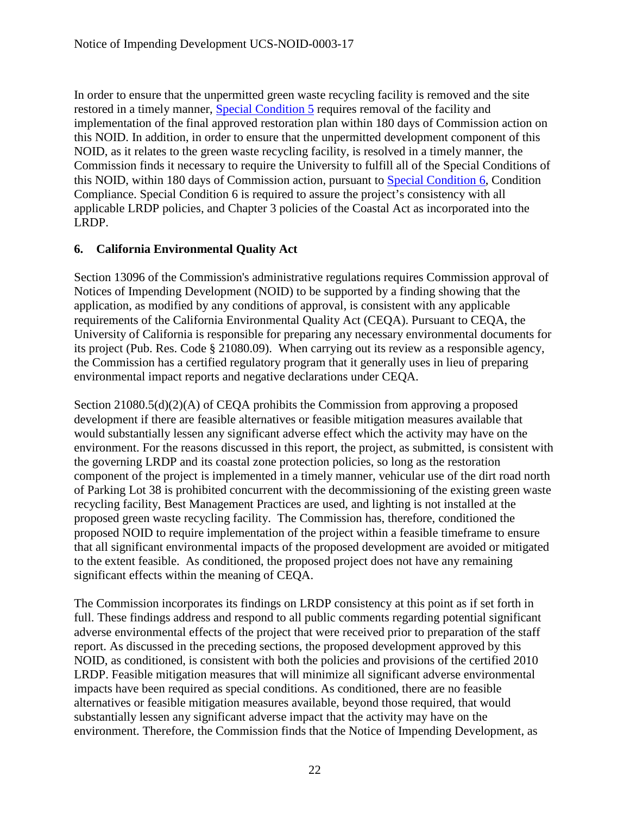In order to ensure that the unpermitted green waste recycling facility is removed and the site restored in a timely manner, [Special Condition 5](#page-7-0) requires removal of the facility and implementation of the final approved restoration plan within 180 days of Commission action on this NOID. In addition, in order to ensure that the unpermitted development component of this NOID, as it relates to the green waste recycling facility, is resolved in a timely manner, the Commission finds it necessary to require the University to fulfill all of the Special Conditions of this NOID, within 180 days of Commission action, pursuant to [Special Condition 6,](#page-7-1) Condition Compliance. Special Condition 6 is required to assure the project's consistency with all applicable LRDP policies, and Chapter 3 policies of the Coastal Act as incorporated into the LRDP.

# <span id="page-21-0"></span>**6. California Environmental Quality Act**

Section 13096 of the Commission's administrative regulations requires Commission approval of Notices of Impending Development (NOID) to be supported by a finding showing that the application, as modified by any conditions of approval, is consistent with any applicable requirements of the California Environmental Quality Act (CEQA). Pursuant to CEQA, the University of California is responsible for preparing any necessary environmental documents for its project (Pub. Res. Code § 21080.09). When carrying out its review as a responsible agency, the Commission has a certified regulatory program that it generally uses in lieu of preparing environmental impact reports and negative declarations under CEQA.

Section 21080.5(d)(2)(A) of CEQA prohibits the Commission from approving a proposed development if there are feasible alternatives or feasible mitigation measures available that would substantially lessen any significant adverse effect which the activity may have on the environment. For the reasons discussed in this report, the project, as submitted, is consistent with the governing LRDP and its coastal zone protection policies, so long as the restoration component of the project is implemented in a timely manner, vehicular use of the dirt road north of Parking Lot 38 is prohibited concurrent with the decommissioning of the existing green waste recycling facility, Best Management Practices are used, and lighting is not installed at the proposed green waste recycling facility. The Commission has, therefore, conditioned the proposed NOID to require implementation of the project within a feasible timeframe to ensure that all significant environmental impacts of the proposed development are avoided or mitigated to the extent feasible. As conditioned, the proposed project does not have any remaining significant effects within the meaning of CEQA.

The Commission incorporates its findings on LRDP consistency at this point as if set forth in full. These findings address and respond to all public comments regarding potential significant adverse environmental effects of the project that were received prior to preparation of the staff report. As discussed in the preceding sections, the proposed development approved by this NOID, as conditioned, is consistent with both the policies and provisions of the certified 2010 LRDP. Feasible mitigation measures that will minimize all significant adverse environmental impacts have been required as special conditions. As conditioned, there are no feasible alternatives or feasible mitigation measures available, beyond those required, that would substantially lessen any significant adverse impact that the activity may have on the environment. Therefore, the Commission finds that the Notice of Impending Development, as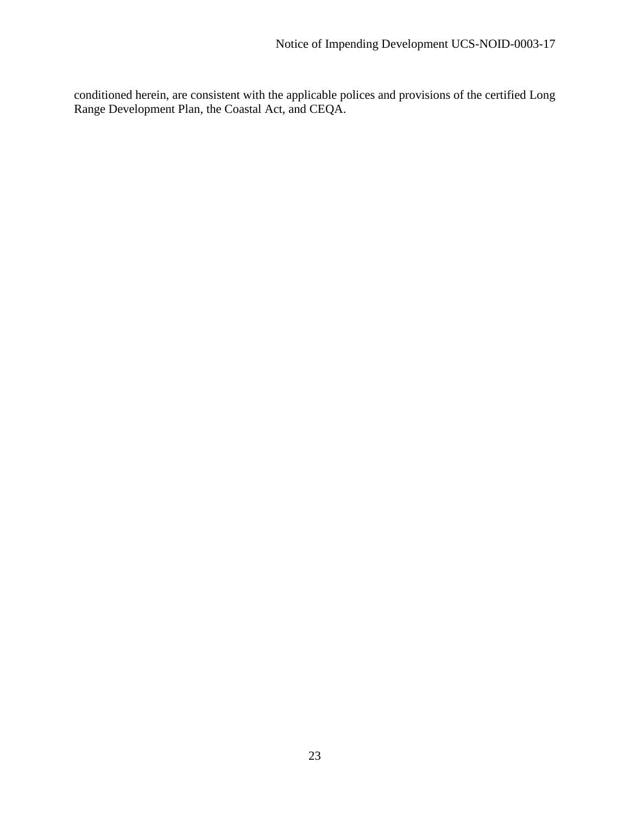<span id="page-22-0"></span>conditioned herein, are consistent with the applicable polices and provisions of the certified Long Range Development Plan, the Coastal Act, and CEQA.